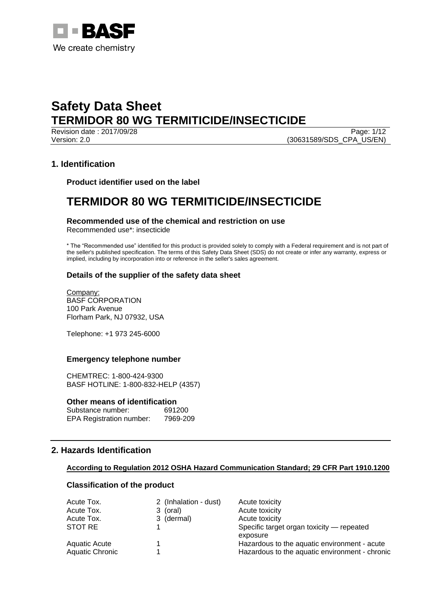

Revision date : 2017/09/28 Page: 1/12 Version: 2.0 (30631589/SDS\_CPA\_US/EN)

## **1. Identification**

**Product identifier used on the label**

## **TERMIDOR 80 WG TERMITICIDE/INSECTICIDE**

## **Recommended use of the chemical and restriction on use**

Recommended use\*: insecticide

\* The "Recommended use" identified for this product is provided solely to comply with a Federal requirement and is not part of the seller's published specification. The terms of this Safety Data Sheet (SDS) do not create or infer any warranty, express or implied, including by incorporation into or reference in the seller's sales agreement.

## **Details of the supplier of the safety data sheet**

Company: BASF CORPORATION 100 Park Avenue Florham Park, NJ 07932, USA

Telephone: +1 973 245-6000

## **Emergency telephone number**

CHEMTREC: 1-800-424-9300 BASF HOTLINE: 1-800-832-HELP (4357)

## **Other means of identification**

| Substance number:               | 691200   |
|---------------------------------|----------|
| <b>EPA Registration number:</b> | 7969-209 |

## **2. Hazards Identification**

## **According to Regulation 2012 OSHA Hazard Communication Standard; 29 CFR Part 1910.1200**

## **Classification of the product**

| Acute Tox.             | 2 (Inhalation - dust) | Acute toxicity                                 |
|------------------------|-----------------------|------------------------------------------------|
| Acute Tox.             | 3 (oral)              | Acute toxicity                                 |
| Acute Tox.             | 3 (dermal)            | Acute toxicity                                 |
| STOT RE                |                       | Specific target organ toxicity — repeated      |
|                        |                       | exposure                                       |
| <b>Aquatic Acute</b>   |                       | Hazardous to the aquatic environment - acute   |
| <b>Aquatic Chronic</b> |                       | Hazardous to the aquatic environment - chronic |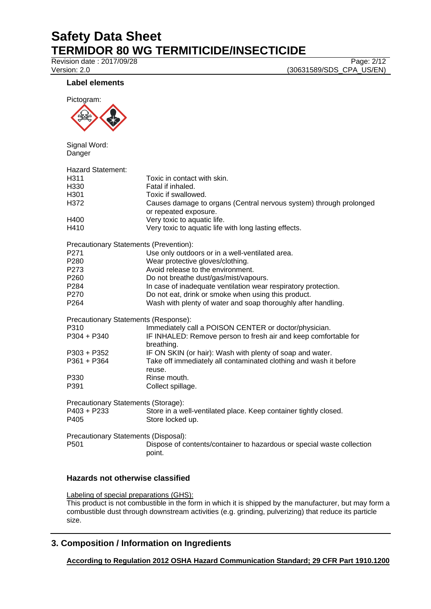Revision date : 2017/09/28 Page: 2/12

Version: 2.0 (30631589/SDS\_CPA\_US/EN)

## **Label elements**



Signal Word: Danger

| Hazard Statement:                             |                                                                        |
|-----------------------------------------------|------------------------------------------------------------------------|
| H311                                          | Toxic in contact with skin.                                            |
| H330                                          | Fatal if inhaled.                                                      |
| H301                                          | Toxic if swallowed.                                                    |
| H372                                          | Causes damage to organs (Central nervous system) through prolonged     |
|                                               | or repeated exposure.                                                  |
| H400                                          | Very toxic to aquatic life.                                            |
| H410                                          | Very toxic to aquatic life with long lasting effects.                  |
| <b>Precautionary Statements (Prevention):</b> |                                                                        |
| P271                                          | Use only outdoors or in a well-ventilated area.                        |
| P280                                          | Wear protective gloves/clothing.                                       |
| P273                                          | Avoid release to the environment.                                      |
| P260                                          | Do not breathe dust/gas/mist/vapours.                                  |
| P284                                          | In case of inadequate ventilation wear respiratory protection.         |
| P270                                          | Do not eat, drink or smoke when using this product.                    |
| P264                                          | Wash with plenty of water and soap thoroughly after handling.          |
| Precautionary Statements (Response):          |                                                                        |
| P310                                          | Immediately call a POISON CENTER or doctor/physician.                  |
| P304 + P340                                   | IF INHALED: Remove person to fresh air and keep comfortable for        |
|                                               | breathing.                                                             |
| P303 + P352                                   | IF ON SKIN (or hair): Wash with plenty of soap and water.              |
| P361 + P364                                   | Take off immediately all contaminated clothing and wash it before      |
|                                               | reuse.                                                                 |
| P330                                          | Rinse mouth.                                                           |
| P391                                          | Collect spillage.                                                      |
| Precautionary Statements (Storage):           |                                                                        |
| P403 + P233                                   | Store in a well-ventilated place. Keep container tightly closed.       |
| P405                                          | Store locked up.                                                       |
| Precautionary Statements (Disposal):          |                                                                        |
| P501                                          | Dispose of contents/container to hazardous or special waste collection |
|                                               | point.                                                                 |

## **Hazards not otherwise classified**

Labeling of special preparations (GHS): This product is not combustible in the form in which it is shipped by the manufacturer, but may form a combustible dust through downstream activities (e.g. grinding, pulverizing) that reduce its particle size.

## **3. Composition / Information on Ingredients**

**According to Regulation 2012 OSHA Hazard Communication Standard; 29 CFR Part 1910.1200**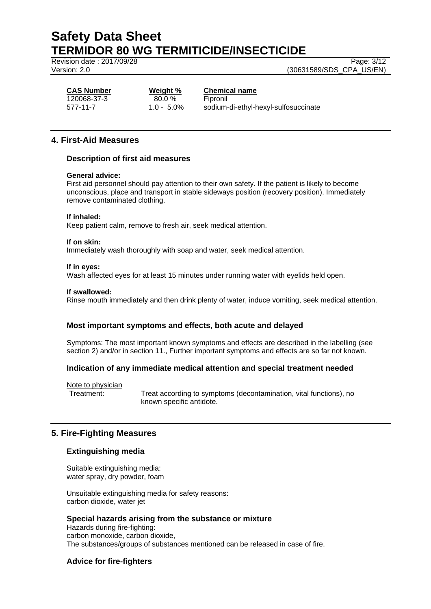Revision date : 2017/09/28 Page: 3/12

Version: 2.0 (30631589/SDS\_CPA\_US/EN)

120068-37-3 80.0 % Fipronil

## **CAS Number Weight % Chemical name**

577-11-7 1.0 - 5.0% sodium-di-ethyl-hexyl-sulfosuccinate

## **4. First-Aid Measures**

## **Description of first aid measures**

## **General advice:**

First aid personnel should pay attention to their own safety. If the patient is likely to become unconscious, place and transport in stable sideways position (recovery position). Immediately remove contaminated clothing.

## **If inhaled:**

Keep patient calm, remove to fresh air, seek medical attention.

#### **If on skin:**

Immediately wash thoroughly with soap and water, seek medical attention.

#### **If in eyes:**

Wash affected eyes for at least 15 minutes under running water with eyelids held open.

#### **If swallowed:**

Rinse mouth immediately and then drink plenty of water, induce vomiting, seek medical attention.

## **Most important symptoms and effects, both acute and delayed**

Symptoms: The most important known symptoms and effects are described in the labelling (see section 2) and/or in section 11., Further important symptoms and effects are so far not known.

## **Indication of any immediate medical attention and special treatment needed**

Note to physician

Treatment: Treat according to symptoms (decontamination, vital functions), no known specific antidote.

## **5. Fire-Fighting Measures**

## **Extinguishing media**

Suitable extinguishing media: water spray, dry powder, foam

Unsuitable extinguishing media for safety reasons: carbon dioxide, water jet

## **Special hazards arising from the substance or mixture**

Hazards during fire-fighting: carbon monoxide, carbon dioxide, The substances/groups of substances mentioned can be released in case of fire.

## **Advice for fire-fighters**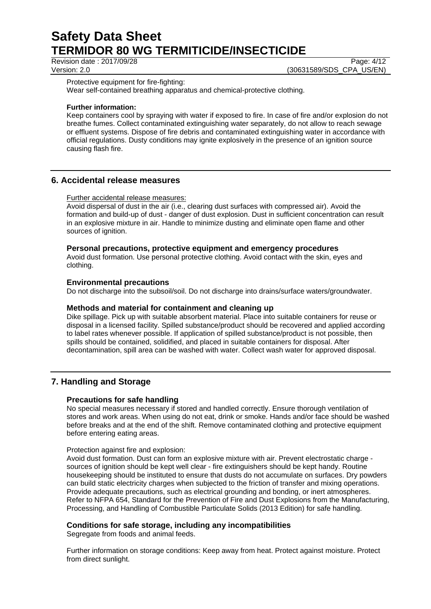Revision date : 2017/09/28 Page: 4/12

Version: 2.0 (30631589/SDS\_CPA\_US/EN)

Protective equipment for fire-fighting:

Wear self-contained breathing apparatus and chemical-protective clothing.

## **Further information:**

Keep containers cool by spraying with water if exposed to fire. In case of fire and/or explosion do not breathe fumes. Collect contaminated extinguishing water separately, do not allow to reach sewage or effluent systems. Dispose of fire debris and contaminated extinguishing water in accordance with official regulations. Dusty conditions may ignite explosively in the presence of an ignition source causing flash fire.

## **6. Accidental release measures**

## Further accidental release measures:

Avoid dispersal of dust in the air (i.e., clearing dust surfaces with compressed air). Avoid the formation and build-up of dust - danger of dust explosion. Dust in sufficient concentration can result in an explosive mixture in air. Handle to minimize dusting and eliminate open flame and other sources of ignition.

## **Personal precautions, protective equipment and emergency procedures**

Avoid dust formation. Use personal protective clothing. Avoid contact with the skin, eyes and clothing.

## **Environmental precautions**

Do not discharge into the subsoil/soil. Do not discharge into drains/surface waters/groundwater.

## **Methods and material for containment and cleaning up**

Dike spillage. Pick up with suitable absorbent material. Place into suitable containers for reuse or disposal in a licensed facility. Spilled substance/product should be recovered and applied according to label rates whenever possible. If application of spilled substance/product is not possible, then spills should be contained, solidified, and placed in suitable containers for disposal. After decontamination, spill area can be washed with water. Collect wash water for approved disposal.

## **7. Handling and Storage**

## **Precautions for safe handling**

No special measures necessary if stored and handled correctly. Ensure thorough ventilation of stores and work areas. When using do not eat, drink or smoke. Hands and/or face should be washed before breaks and at the end of the shift. Remove contaminated clothing and protective equipment before entering eating areas.

## Protection against fire and explosion:

Avoid dust formation. Dust can form an explosive mixture with air. Prevent electrostatic charge sources of ignition should be kept well clear - fire extinguishers should be kept handy. Routine housekeeping should be instituted to ensure that dusts do not accumulate on surfaces. Dry powders can build static electricity charges when subjected to the friction of transfer and mixing operations. Provide adequate precautions, such as electrical grounding and bonding, or inert atmospheres. Refer to NFPA 654, Standard for the Prevention of Fire and Dust Explosions from the Manufacturing, Processing, and Handling of Combustible Particulate Solids (2013 Edition) for safe handling.

## **Conditions for safe storage, including any incompatibilities**

Segregate from foods and animal feeds.

Further information on storage conditions: Keep away from heat. Protect against moisture. Protect from direct sunlight.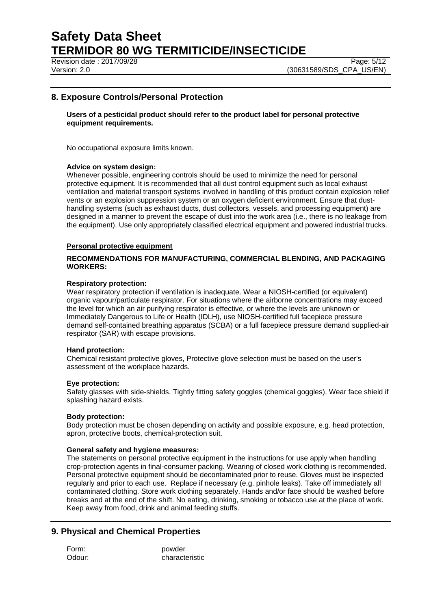Revision date : 2017/09/28 Page: 5/12

## **8. Exposure Controls/Personal Protection**

## **Users of a pesticidal product should refer to the product label for personal protective equipment requirements.**

No occupational exposure limits known.

## **Advice on system design:**

Whenever possible, engineering controls should be used to minimize the need for personal protective equipment. It is recommended that all dust control equipment such as local exhaust ventilation and material transport systems involved in handling of this product contain explosion relief vents or an explosion suppression system or an oxygen deficient environment. Ensure that dusthandling systems (such as exhaust ducts, dust collectors, vessels, and processing equipment) are designed in a manner to prevent the escape of dust into the work area (i.e., there is no leakage from the equipment). Use only appropriately classified electrical equipment and powered industrial trucks.

#### **Personal protective equipment**

## **RECOMMENDATIONS FOR MANUFACTURING, COMMERCIAL BLENDING, AND PACKAGING WORKERS:**

#### **Respiratory protection:**

Wear respiratory protection if ventilation is inadequate. Wear a NIOSH-certified (or equivalent) organic vapour/particulate respirator. For situations where the airborne concentrations may exceed the level for which an air purifying respirator is effective, or where the levels are unknown or Immediately Dangerous to Life or Health (IDLH), use NIOSH-certified full facepiece pressure demand self-contained breathing apparatus (SCBA) or a full facepiece pressure demand supplied-air respirator (SAR) with escape provisions.

#### **Hand protection:**

Chemical resistant protective gloves, Protective glove selection must be based on the user's assessment of the workplace hazards.

#### **Eye protection:**

Safety glasses with side-shields. Tightly fitting safety goggles (chemical goggles). Wear face shield if splashing hazard exists.

#### **Body protection:**

Body protection must be chosen depending on activity and possible exposure, e.g. head protection, apron, protective boots, chemical-protection suit.

#### **General safety and hygiene measures:**

The statements on personal protective equipment in the instructions for use apply when handling crop-protection agents in final-consumer packing. Wearing of closed work clothing is recommended. Personal protective equipment should be decontaminated prior to reuse. Gloves must be inspected regularly and prior to each use. Replace if necessary (e.g. pinhole leaks). Take off immediately all contaminated clothing. Store work clothing separately. Hands and/or face should be washed before breaks and at the end of the shift. No eating, drinking, smoking or tobacco use at the place of work. Keep away from food, drink and animal feeding stuffs.

## **9. Physical and Chemical Properties**

| Form:  | powder         |
|--------|----------------|
| Odour: | characteristic |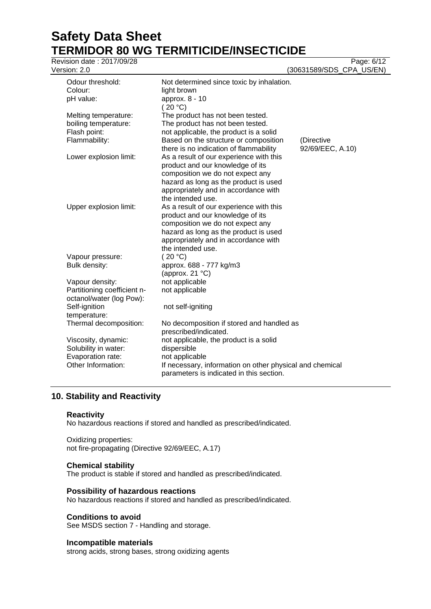# **Safety Data Sheet TERMIDOR 80 WG TERMITICIDE/INSECTICIDE**<br>Revision date : 2017/09/28

| Revision date: 2017/09/28<br>Version: 2.0               |                                                                                                                                                                                                                       | Page: 6/12<br>(30631589/SDS_CPA_US/EN) |
|---------------------------------------------------------|-----------------------------------------------------------------------------------------------------------------------------------------------------------------------------------------------------------------------|----------------------------------------|
| Odour threshold:<br>Colour:                             | Not determined since toxic by inhalation.<br>light brown                                                                                                                                                              |                                        |
| pH value:                                               | approx. 8 - 10<br>(20 °C)                                                                                                                                                                                             |                                        |
| Melting temperature:                                    | The product has not been tested.                                                                                                                                                                                      |                                        |
| boiling temperature:                                    | The product has not been tested.                                                                                                                                                                                      |                                        |
| Flash point:                                            | not applicable, the product is a solid                                                                                                                                                                                |                                        |
| Flammability:                                           | Based on the structure or composition<br>there is no indication of flammability                                                                                                                                       | (Directive<br>92/69/EEC, A.10)         |
| Lower explosion limit:                                  | As a result of our experience with this<br>product and our knowledge of its<br>composition we do not expect any<br>hazard as long as the product is used<br>appropriately and in accordance with<br>the intended use. |                                        |
| Upper explosion limit:                                  | As a result of our experience with this<br>product and our knowledge of its<br>composition we do not expect any<br>hazard as long as the product is used<br>appropriately and in accordance with<br>the intended use. |                                        |
| Vapour pressure:                                        | (20 °C)                                                                                                                                                                                                               |                                        |
| Bulk density:                                           | approx. 688 - 777 kg/m3<br>(approx. 21 $°C$ )                                                                                                                                                                         |                                        |
| Vapour density:                                         | not applicable                                                                                                                                                                                                        |                                        |
| Partitioning coefficient n-<br>octanol/water (log Pow): | not applicable                                                                                                                                                                                                        |                                        |
| Self-ignition<br>temperature:                           | not self-igniting                                                                                                                                                                                                     |                                        |
| Thermal decomposition:                                  | No decomposition if stored and handled as<br>prescribed/indicated.                                                                                                                                                    |                                        |
| Viscosity, dynamic:                                     | not applicable, the product is a solid                                                                                                                                                                                |                                        |
| Solubility in water:                                    | dispersible                                                                                                                                                                                                           |                                        |
| Evaporation rate:                                       | not applicable                                                                                                                                                                                                        |                                        |
| Other Information:                                      | If necessary, information on other physical and chemical<br>parameters is indicated in this section.                                                                                                                  |                                        |

## **10. Stability and Reactivity**

## **Reactivity**

No hazardous reactions if stored and handled as prescribed/indicated.

Oxidizing properties: not fire-propagating (Directive 92/69/EEC, A.17)

## **Chemical stability**

The product is stable if stored and handled as prescribed/indicated.

## **Possibility of hazardous reactions**

No hazardous reactions if stored and handled as prescribed/indicated.

## **Conditions to avoid**

See MSDS section 7 - Handling and storage.

## **Incompatible materials**

strong acids, strong bases, strong oxidizing agents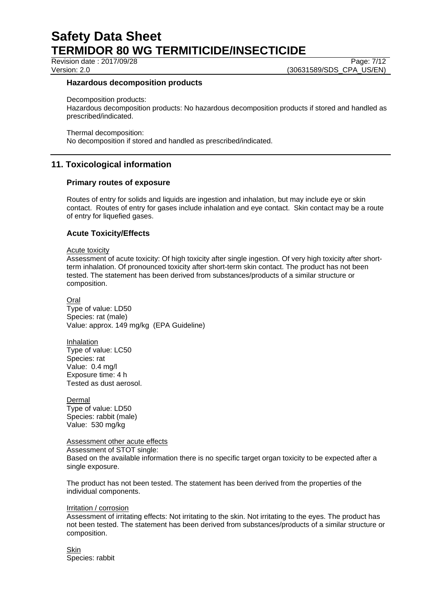Revision date : 2017/09/28 Page: 7/12

Version: 2.0 **(30631589/SDS\_CPA\_US/EN)** 

## **Hazardous decomposition products**

Decomposition products:

Hazardous decomposition products: No hazardous decomposition products if stored and handled as prescribed/indicated.

Thermal decomposition:

No decomposition if stored and handled as prescribed/indicated.

## **11. Toxicological information**

## **Primary routes of exposure**

Routes of entry for solids and liquids are ingestion and inhalation, but may include eye or skin contact. Routes of entry for gases include inhalation and eye contact. Skin contact may be a route of entry for liquefied gases.

## **Acute Toxicity/Effects**

#### Acute toxicity

Assessment of acute toxicity: Of high toxicity after single ingestion. Of very high toxicity after shortterm inhalation. Of pronounced toxicity after short-term skin contact. The product has not been tested. The statement has been derived from substances/products of a similar structure or composition.

Oral Type of value: LD50 Species: rat (male) Value: approx. 149 mg/kg (EPA Guideline)

Inhalation Type of value: LC50 Species: rat Value: 0.4 mg/l Exposure time: 4 h Tested as dust aerosol.

Dermal Type of value: LD50 Species: rabbit (male) Value: 530 mg/kg

Assessment other acute effects

Assessment of STOT single:

Based on the available information there is no specific target organ toxicity to be expected after a single exposure.

The product has not been tested. The statement has been derived from the properties of the individual components.

## Irritation / corrosion

Assessment of irritating effects: Not irritating to the skin. Not irritating to the eyes. The product has not been tested. The statement has been derived from substances/products of a similar structure or composition.

**Skin** Species: rabbit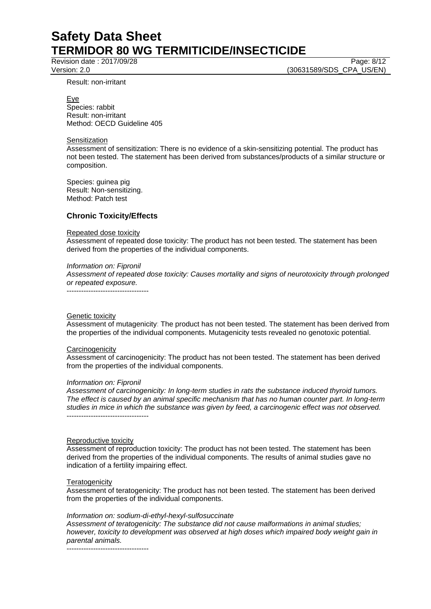Revision date : 2017/09/28 Page: 8/12

Version: 2.0 **(30631589/SDS\_CPA\_US/EN)** 

Result: non-irritant

Eye

Species: rabbit Result: non-irritant Method: OECD Guideline 405

## **Sensitization**

Assessment of sensitization: There is no evidence of a skin-sensitizing potential. The product has not been tested. The statement has been derived from substances/products of a similar structure or composition.

Species: guinea pig Result: Non-sensitizing. Method: Patch test

## **Chronic Toxicity/Effects**

## Repeated dose toxicity

Assessment of repeated dose toxicity: The product has not been tested. The statement has been derived from the properties of the individual components.

## *Information on: Fipronil*

*Assessment of repeated dose toxicity: Causes mortality and signs of neurotoxicity through prolonged or repeated exposure.* ----------------------------------

Genetic toxicity

Assessment of mutagenicity: The product has not been tested. The statement has been derived from the properties of the individual components. Mutagenicity tests revealed no genotoxic potential.

#### **Carcinogenicity**

Assessment of carcinogenicity: The product has not been tested. The statement has been derived from the properties of the individual components.

## *Information on: Fipronil*

*Assessment of carcinogenicity: In long-term studies in rats the substance induced thyroid tumors. The effect is caused by an animal specific mechanism that has no human counter part. In long-term studies in mice in which the substance was given by feed, a carcinogenic effect was not observed.* ----------------------------------

#### Reproductive toxicity

Assessment of reproduction toxicity: The product has not been tested. The statement has been derived from the properties of the individual components. The results of animal studies gave no indication of a fertility impairing effect.

## **Teratogenicity**

Assessment of teratogenicity: The product has not been tested. The statement has been derived from the properties of the individual components.

## *Information on: sodium-di-ethyl-hexyl-sulfosuccinate*

*Assessment of teratogenicity: The substance did not cause malformations in animal studies; however, toxicity to development was observed at high doses which impaired body weight gain in parental animals.*

----------------------------------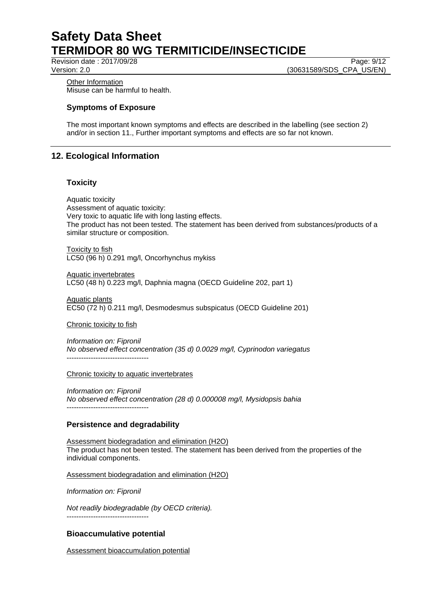Revision date : 2017/09/28 Page: 9/12

Version: 2.0 (30631589/SDS\_CPA\_US/EN)

Other Information Misuse can be harmful to health.

## **Symptoms of Exposure**

The most important known symptoms and effects are described in the labelling (see section 2) and/or in section 11., Further important symptoms and effects are so far not known.

## **12. Ecological Information**

## **Toxicity**

Aquatic toxicity Assessment of aquatic toxicity: Very toxic to aquatic life with long lasting effects. The product has not been tested. The statement has been derived from substances/products of a similar structure or composition.

Toxicity to fish LC50 (96 h) 0.291 mg/l, Oncorhynchus mykiss

Aquatic invertebrates LC50 (48 h) 0.223 mg/l, Daphnia magna (OECD Guideline 202, part 1)

Aquatic plants EC50 (72 h) 0.211 mg/l, Desmodesmus subspicatus (OECD Guideline 201)

Chronic toxicity to fish

*Information on: Fipronil No observed effect concentration (35 d) 0.0029 mg/l, Cyprinodon variegatus* ----------------------------------

## Chronic toxicity to aquatic invertebrates

*Information on: Fipronil No observed effect concentration (28 d) 0.000008 mg/l, Mysidopsis bahia* ----------------------------------

## **Persistence and degradability**

Assessment biodegradation and elimination (H2O) The product has not been tested. The statement has been derived from the properties of the individual components.

Assessment biodegradation and elimination (H2O)

*Information on: Fipronil*

*Not readily biodegradable (by OECD criteria).*

----------------------------------

## **Bioaccumulative potential**

Assessment bioaccumulation potential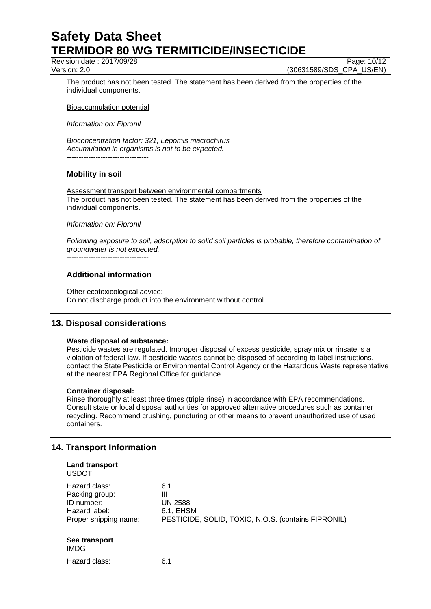Revision date : 2017/09/28 Page: 10/12

Version: 2.0 **(30631589/SDS\_CPA\_US/EN)** 

The product has not been tested. The statement has been derived from the properties of the individual components.

Bioaccumulation potential

*Information on: Fipronil*

*Bioconcentration factor: 321, Lepomis macrochirus Accumulation in organisms is not to be expected.* ----------------------------------

## **Mobility in soil**

Assessment transport between environmental compartments The product has not been tested. The statement has been derived from the properties of the individual components.

## *Information on: Fipronil*

*Following exposure to soil, adsorption to solid soil particles is probable, therefore contamination of groundwater is not expected.*

----------------------------------

## **Additional information**

Other ecotoxicological advice: Do not discharge product into the environment without control.

## **13. Disposal considerations**

## **Waste disposal of substance:**

Pesticide wastes are regulated. Improper disposal of excess pesticide, spray mix or rinsate is a violation of federal law. If pesticide wastes cannot be disposed of according to label instructions, contact the State Pesticide or Environmental Control Agency or the Hazardous Waste representative at the nearest EPA Regional Office for guidance.

## **Container disposal:**

Rinse thoroughly at least three times (triple rinse) in accordance with EPA recommendations. Consult state or local disposal authorities for approved alternative procedures such as container recycling. Recommend crushing, puncturing or other means to prevent unauthorized use of used containers.

## **14. Transport Information**

| <b>Land transport</b><br><b>USDOT</b>                                                   |                                                                                                |
|-----------------------------------------------------------------------------------------|------------------------------------------------------------------------------------------------|
| Hazard class:<br>Packing group:<br>ID number:<br>Hazard label:<br>Proper shipping name: | 6.1<br>Ш<br><b>UN 2588</b><br>6.1, EHSM<br>PESTICIDE, SOLID, TOXIC, N.O.S. (contains FIPRONIL) |
| Sea transport<br><b>IMDG</b>                                                            |                                                                                                |
| Hazard class:                                                                           | 6.1                                                                                            |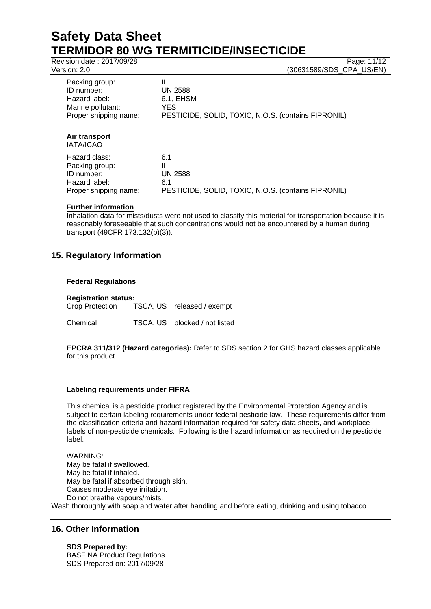Revision date : 2017/09/28 Page: 11/12

Version: 2.0 (30631589/SDS\_CPA\_US/EN)

| Packing group:<br>ID number:<br>Hazard label:<br>Marine pollutant:<br>Proper shipping name: | Ш<br><b>UN 2588</b><br>6.1, EHSM<br>YES<br>PESTICIDE, SOLID, TOXIC, N.O.S. (contains FIPRONIL) |
|---------------------------------------------------------------------------------------------|------------------------------------------------------------------------------------------------|
| Air transport<br><b>IATA/ICAO</b>                                                           |                                                                                                |

| Hazard class:         | 6.1                                                 |
|-----------------------|-----------------------------------------------------|
| Packing group:        |                                                     |
| ID number:            | <b>UN 2588</b>                                      |
| Hazard label:         | 61                                                  |
| Proper shipping name: | PESTICIDE, SOLID, TOXIC, N.O.S. (contains FIPRONIL) |

## **Further information**

Inhalation data for mists/dusts were not used to classify this material for transportation because it is reasonably foreseeable that such concentrations would not be encountered by a human during transport (49CFR 173.132(b)(3)).

## **15. Regulatory Information**

## **Federal Regulations**

| <b>Registration status:</b> |  |                               |
|-----------------------------|--|-------------------------------|
| Crop Protection             |  | TSCA, US released / exempt    |
| Chemical                    |  | TSCA, US blocked / not listed |

**EPCRA 311/312 (Hazard categories):** Refer to SDS section 2 for GHS hazard classes applicable for this product.

## **Labeling requirements under FIFRA**

This chemical is a pesticide product registered by the Environmental Protection Agency and is subject to certain labeling requirements under federal pesticide law. These requirements differ from the classification criteria and hazard information required for safety data sheets, and workplace labels of non-pesticide chemicals. Following is the hazard information as required on the pesticide label.

WARNING: May be fatal if swallowed. May be fatal if inhaled. May be fatal if absorbed through skin. Causes moderate eye irritation. Do not breathe vapours/mists. Wash thoroughly with soap and water after handling and before eating, drinking and using tobacco.

## **16. Other Information**

**SDS Prepared by:**  BASF NA Product Regulations SDS Prepared on: 2017/09/28